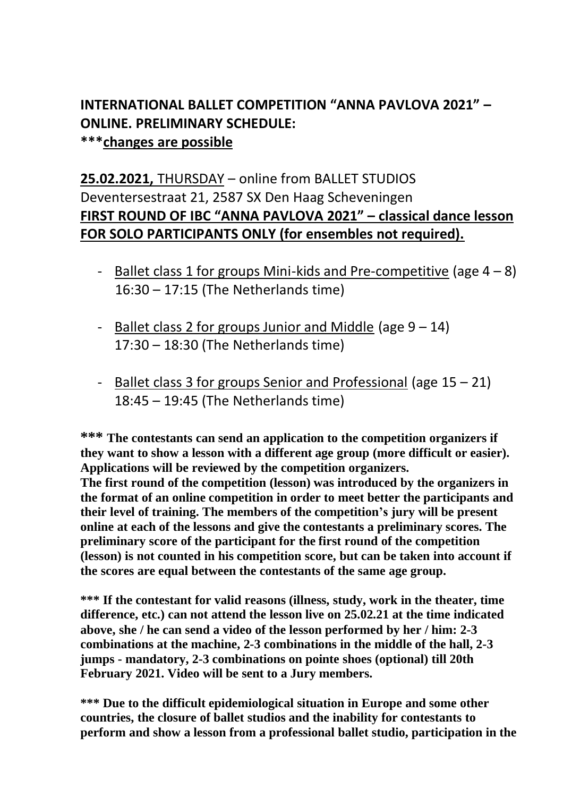## **INTERNATIONAL BALLET COMPETITION "ANNA PAVLOVA 2021" – ONLINE. PRELIMINARY SCHEDULE: \*\*\*changes are possible**

## **25.02.2021,** THURSDAY – online from BALLET STUDIOS Deventersestraat 21, 2587 SX Den Haag Scheveningen **FIRST ROUND OF IBC "ANNA PAVLOVA 2021" – classical dance lesson FOR SOLO PARTICIPANTS ONLY (for ensembles not required).**

- Ballet class 1 for groups Mini-kids and Pre-competitive (age  $4 8$ ) 16:30 – 17:15 (The Netherlands time)
- Ballet class 2 for groups Junior and Middle (age  $9 14$ ) 17:30 – 18:30 (The Netherlands time)
- Ballet class 3 for groups Senior and Professional (age  $15 21$ ) 18:45 – 19:45 (The Netherlands time)

**\*\*\* The contestants can send an application to the competition organizers if they want to show a lesson with a different age group (more difficult or easier). Applications will be reviewed by the competition organizers. The first round of the competition (lesson) was introduced by the organizers in the format of an online competition in order to meet better the participants and their level of training. The members of the competition's jury will be present online at each of the lessons and give the contestants a preliminary scores. The preliminary score of the participant for the first round of the competition (lesson) is not counted in his competition score, but can be taken into account if the scores are equal between the contestants of the same age group.**

**\*\*\* If the contestant for valid reasons (illness, study, work in the theater, time difference, etc.) can not attend the lesson live on 25.02.21 at the time indicated above, she / he can send a video of the lesson performed by her / him: 2-3 combinations at the machine, 2-3 combinations in the middle of the hall, 2-3 jumps - mandatory, 2-3 combinations on pointe shoes (optional) till 20th February 2021. Video will be sent to a Jury members.**

**\*\*\* Due to the difficult epidemiological situation in Europe and some other countries, the closure of ballet studios and the inability for contestants to perform and show a lesson from a professional ballet studio, participation in the**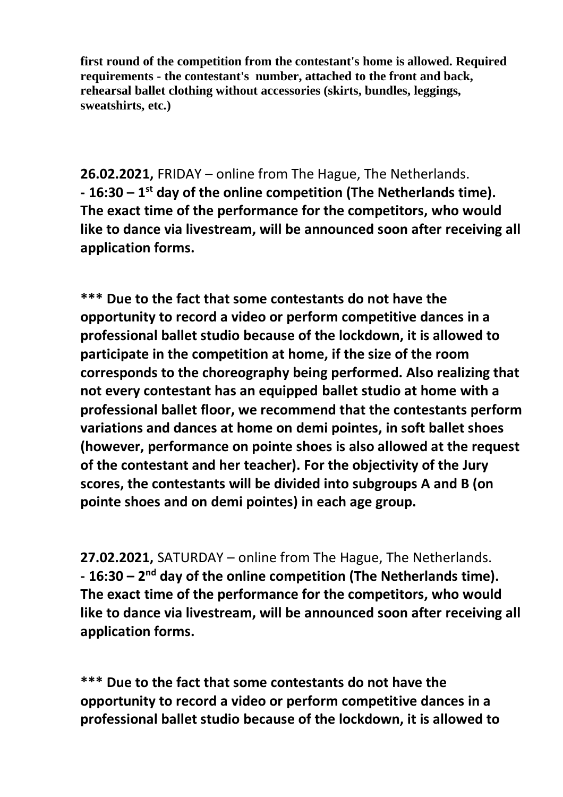**first round of the competition from the contestant's home is allowed. Required requirements - the contestant's number, attached to the front and back, rehearsal ballet clothing without accessories (skirts, bundles, leggings, sweatshirts, etc.)**

**26.02.2021,** FRIDAY – online from The Hague, The Netherlands. **- 16:30 – 1 st day of the online competition (The Netherlands time). The exact time of the performance for the competitors, who would like to dance via livestream, will be announced soon after receiving all application forms.**

**\*\*\* Due to the fact that some contestants do not have the opportunity to record a video or perform competitive dances in a professional ballet studio because of the lockdown, it is allowed to participate in the competition at home, if the size of the room corresponds to the choreography being performed. Also realizing that not every contestant has an equipped ballet studio at home with a professional ballet floor, we recommend that the contestants perform variations and dances at home on demi pointes, in soft ballet shoes (however, performance on pointe shoes is also allowed at the request of the contestant and her teacher). For the objectivity of the Jury scores, the contestants will be divided into subgroups A and B (on pointe shoes and on demi pointes) in each age group.**

**27.02.2021,** SATURDAY – online from The Hague, The Netherlands. **- 16:30 – 2 nd day of the online competition (The Netherlands time). The exact time of the performance for the competitors, who would like to dance via livestream, will be announced soon after receiving all application forms.**

**\*\*\* Due to the fact that some contestants do not have the opportunity to record a video or perform competitive dances in a professional ballet studio because of the lockdown, it is allowed to**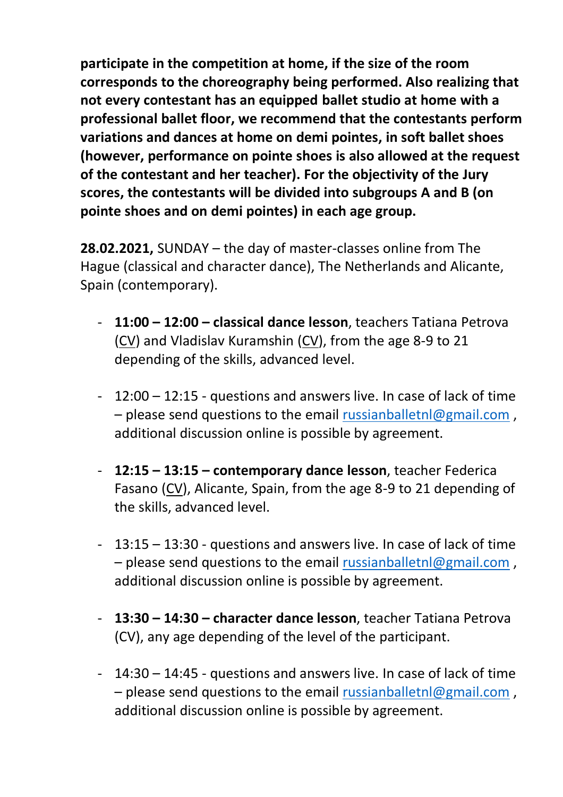**participate in the competition at home, if the size of the room corresponds to the choreography being performed. Also realizing that not every contestant has an equipped ballet studio at home with a professional ballet floor, we recommend that the contestants perform variations and dances at home on demi pointes, in soft ballet shoes (however, performance on pointe shoes is also allowed at the request of the contestant and her teacher). For the objectivity of the Jury scores, the contestants will be divided into subgroups A and B (on pointe shoes and on demi pointes) in each age group.**

**28.02.2021,** SUNDAY – the day of master-classes online from The Hague (classical and character dance), The Netherlands and Alicante, Spain (contemporary).

- **11:00 – 12:00 – classical dance lesson**, teachers Tatiana Petrova (CV) and Vladislav Kuramshin (CV), from the age 8-9 to 21 depending of the skills, advanced level.
- 12:00 12:15 questions and answers live. In case of lack of time – please send questions to the email [russianballetnl@gmail.com](mailto:russianballetnl@gmail.com) , additional discussion online is possible by agreement.
- **12:15 – 13:15 – contemporary dance lesson**, teacher Federica Fasano (CV), Alicante, Spain, from the age 8-9 to 21 depending of the skills, advanced level.
- 13:15 13:30 questions and answers live. In case of lack of time – please send questions to the email [russianballetnl@gmail.com](mailto:russianballetnl@gmail.com) , additional discussion online is possible by agreement.
- **13:30 – 14:30 – character dance lesson**, teacher Tatiana Petrova (CV), any age depending of the level of the participant.
- 14:30 14:45 questions and answers live. In case of lack of time – please send questions to the email [russianballetnl@gmail.com](mailto:russianballetnl@gmail.com) , additional discussion online is possible by agreement.